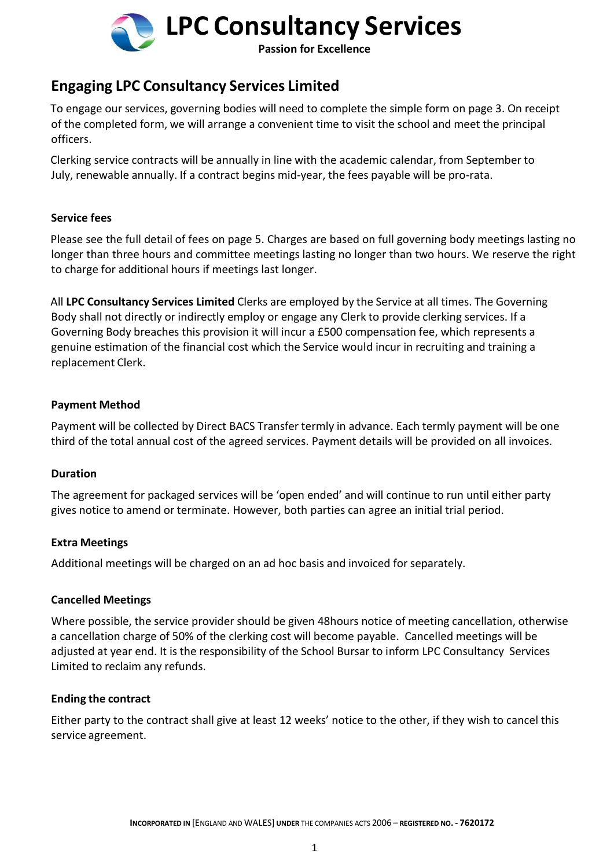

## **Engaging LPC Consultancy Services Limited**

To engage our services, governing bodies will need to complete the simple form on page 3. On receipt of the completed form, we will arrange a convenient time to visit the school and meet the principal officers.

Clerking service contracts will be annually in line with the academic calendar, from September to July, renewable annually. If a contract begins mid-year, the fees payable will be pro-rata.

## **Service fees**

Please see the full detail of fees on page 5. Charges are based on full governing body meetings lasting no longer than three hours and committee meetings lasting no longer than two hours. We reserve the right to charge for additional hours if meetings last longer.

All **LPC Consultancy Services Limited** Clerks are employed by the Service at all times. The Governing Body shall not directly or indirectly employ or engage any Clerk to provide clerking services. If a Governing Body breaches this provision it will incur a £500 compensation fee, which represents a genuine estimation of the financial cost which the Service would incur in recruiting and training a replacement Clerk.

## **Payment Method**

Payment will be collected by Direct BACS Transfer termly in advance. Each termly payment will be one third of the total annual cost of the agreed services. Payment details will be provided on all invoices.

## **Duration**

The agreement for packaged services will be 'open ended' and will continue to run until either party gives notice to amend or terminate. However, both parties can agree an initial trial period.

## **Extra Meetings**

Additional meetings will be charged on an ad hoc basis and invoiced for separately.

## **Cancelled Meetings**

Where possible, the service provider should be given 48hours notice of meeting cancellation, otherwise a cancellation charge of 50% of the clerking cost will become payable. Cancelled meetings will be adjusted at year end. It is the responsibility of the School Bursar to inform LPC Consultancy Services Limited to reclaim any refunds.

## **Ending the contract**

Either party to the contract shall give at least 12 weeks' notice to the other, if they wish to cancel this service agreement.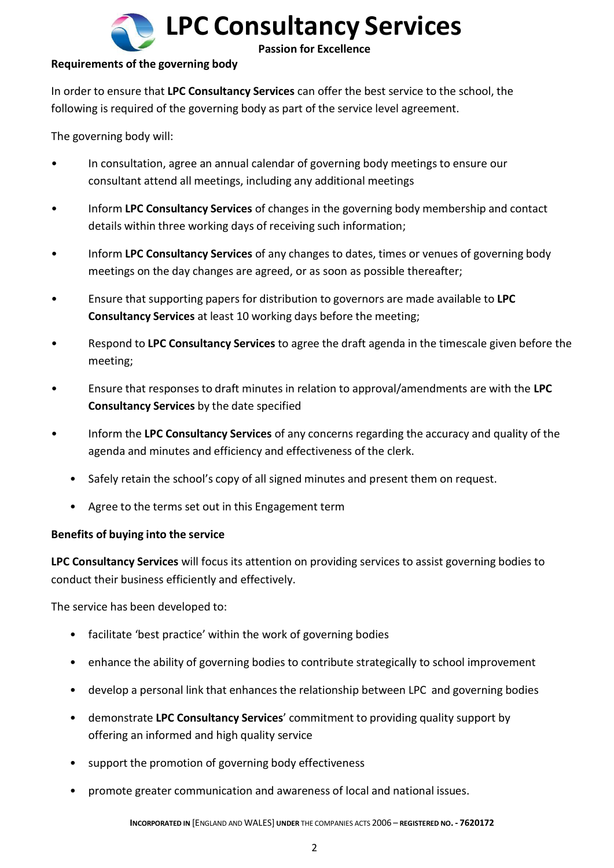

## **Requirements of the governing body**

In order to ensure that **LPC Consultancy Services** can offer the best service to the school, the following is required of the governing body as part of the service level agreement.

The governing body will:

- In consultation, agree an annual calendar of governing body meetings to ensure our consultant attend all meetings, including any additional meetings
- Inform **LPC Consultancy Services** of changes in the governing body membership and contact details within three working days of receiving such information;
- Inform **LPC Consultancy Services** of any changes to dates, times or venues of governing body meetings on the day changes are agreed, or as soon as possible thereafter;
- Ensure that supporting papers for distribution to governors are made available to **LPC Consultancy Services** at least 10 working days before the meeting;
- Respond to **LPC Consultancy Services** to agree the draft agenda in the timescale given before the meeting;
- Ensure that responses to draft minutes in relation to approval/amendments are with the **LPC Consultancy Services** by the date specified
- Inform the **LPC Consultancy Services** of any concerns regarding the accuracy and quality of the agenda and minutes and efficiency and effectiveness of the clerk.
	- Safely retain the school's copy of all signed minutes and present them on request.
	- Agree to the terms set out in this Engagement term

## **Benefits of buying into the service**

**LPC Consultancy Services** will focus its attention on providing services to assist governing bodies to conduct their business efficiently and effectively.

The service has been developed to:

- facilitate 'best practice' within the work of governing bodies
- enhance the ability of governing bodies to contribute strategically to school improvement
- develop a personal link that enhances the relationship between LPC and governing bodies
- demonstrate **LPC Consultancy Services**' commitment to providing quality support by offering an informed and high quality service
- support the promotion of governing body effectiveness
- promote greater communication and awareness of local and national issues.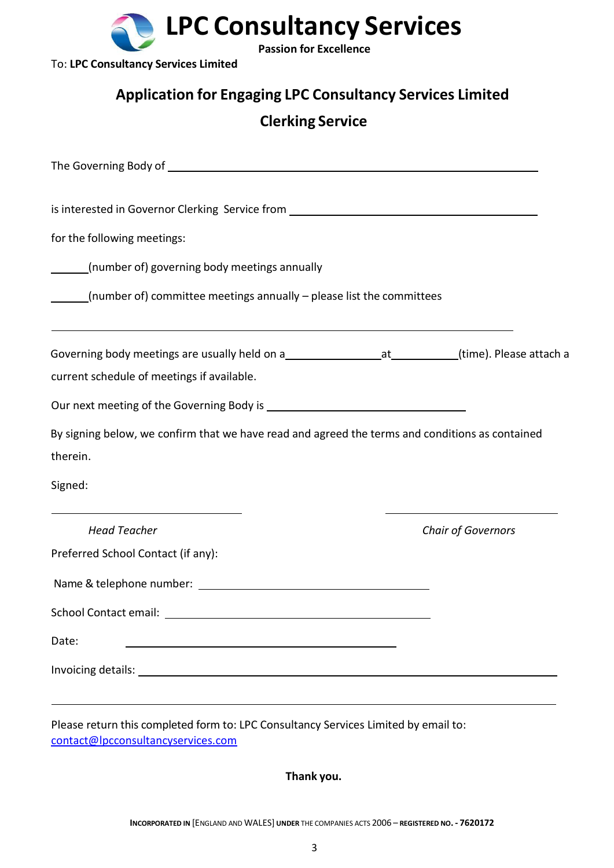

To: **LPC Consultancy Services Limited**

## **Application for Engaging LPC Consultancy Services Limited**

## **Clerking Service**

| is interested in Governor Clerking Service from ________________________________<br>for the following meetings:              |  |                           |  |  |  |  |                                                                                                                           |  |  |  |  |  |
|------------------------------------------------------------------------------------------------------------------------------|--|---------------------------|--|--|--|--|---------------------------------------------------------------------------------------------------------------------------|--|--|--|--|--|
|                                                                                                                              |  |                           |  |  |  |  | (number of) governing body meetings annually<br>_____(number of) committee meetings annually - please list the committees |  |  |  |  |  |
|                                                                                                                              |  |                           |  |  |  |  |                                                                                                                           |  |  |  |  |  |
| current schedule of meetings if available.                                                                                   |  |                           |  |  |  |  |                                                                                                                           |  |  |  |  |  |
|                                                                                                                              |  |                           |  |  |  |  |                                                                                                                           |  |  |  |  |  |
|                                                                                                                              |  |                           |  |  |  |  |                                                                                                                           |  |  |  |  |  |
|                                                                                                                              |  |                           |  |  |  |  |                                                                                                                           |  |  |  |  |  |
|                                                                                                                              |  |                           |  |  |  |  |                                                                                                                           |  |  |  |  |  |
|                                                                                                                              |  |                           |  |  |  |  |                                                                                                                           |  |  |  |  |  |
| <b>Head Teacher</b>                                                                                                          |  | <b>Chair of Governors</b> |  |  |  |  |                                                                                                                           |  |  |  |  |  |
| Preferred School Contact (if any):                                                                                           |  |                           |  |  |  |  |                                                                                                                           |  |  |  |  |  |
|                                                                                                                              |  |                           |  |  |  |  |                                                                                                                           |  |  |  |  |  |
|                                                                                                                              |  |                           |  |  |  |  |                                                                                                                           |  |  |  |  |  |
| Date:<br><u> 1989 - Johann Barbara, martxa alemaniar argumento este alemaniar alemaniar alemaniar alemaniar alemaniar al</u> |  |                           |  |  |  |  |                                                                                                                           |  |  |  |  |  |
| By signing below, we confirm that we have read and agreed the terms and conditions as contained<br>therein.<br>Signed:       |  |                           |  |  |  |  |                                                                                                                           |  |  |  |  |  |

**Thank you.**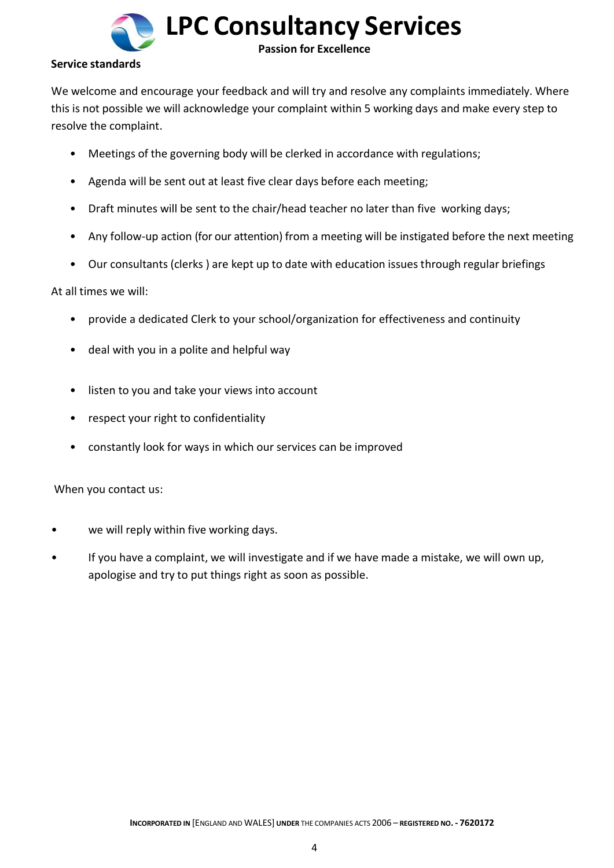

#### **Service standards**

We welcome and encourage your feedback and will try and resolve any complaints immediately. Where this is not possible we will acknowledge your complaint within 5 working days and make every step to resolve the complaint.

- Meetings of the governing body will be clerked in accordance with regulations;
- Agenda will be sent out at least five clear days before each meeting;
- Draft minutes will be sent to the chair/head teacher no later than five working days;
- Any follow-up action (for our attention) from a meeting will be instigated before the next meeting
- Our consultants (clerks ) are kept up to date with education issues through regular briefings

#### At all times we will:

- provide a dedicated Clerk to your school/organization for effectiveness and continuity
- deal with you in a polite and helpful way
- listen to you and take your views into account
- respect your right to confidentiality
- constantly look for ways in which our services can be improved

When you contact us:

- we will reply within five working days.
- If you have a complaint, we will investigate and if we have made a mistake, we will own up, apologise and try to put things right as soon as possible.